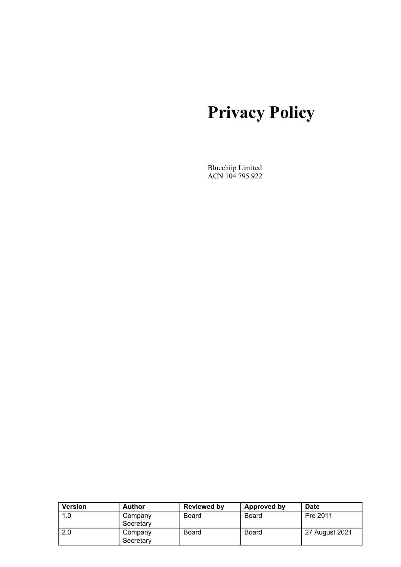# **Privacy Policy**

Bluechiip Limited ACN 104 795 922

| <b>Version</b> | Author               | <b>Reviewed by</b> | Approved by  | <b>Date</b>    |
|----------------|----------------------|--------------------|--------------|----------------|
| 1.0            | Company<br>Secretary | Board              | <b>Board</b> | Pre 2011       |
| 2.0            | Company<br>Secretary | Board              | Board        | 27 August 2021 |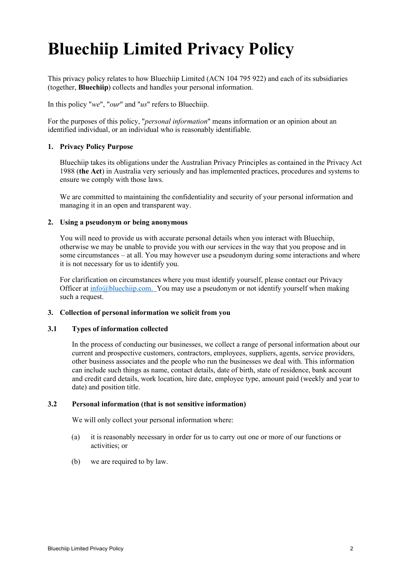# **Bluechiip Limited Privacy Policy**

This privacy policy relates to how Bluechiip Limited (ACN 104 795 922) and each of its subsidiaries (together, **Bluechiip**) collects and handles your personal information.

In this policy "*we*", "*our*" and "*us*" refers to Bluechiip.

For the purposes of this policy, "*personal information*" means information or an opinion about an identified individual, or an individual who is reasonably identifiable.

# **1. Privacy Policy Purpose**

Bluechiip takes its obligations under the Australian Privacy Principles as contained in the Privacy Act 1988 (**the Act**) in Australia very seriously and has implemented practices, procedures and systems to ensure we comply with those laws.

We are committed to maintaining the confidentiality and security of your personal information and managing it in an open and transparent way.

#### **2. Using a pseudonym or being anonymous**

You will need to provide us with accurate personal details when you interact with Bluechiip, otherwise we may be unable to provide you with our services in the way that you propose and in some circumstances – at all. You may however use a pseudonym during some interactions and where it is not necessary for us to identify you.

For clarification on circumstances where you must identify yourself, please contact our Privacy Officer at  $\frac{info@bluechip.com}{p.com}$  You may use a pseudonym or not identify yourself when making such a request.

# **3. Collection of personal information we solicit from you**

## **3.1 Types of information collected**

In the process of conducting our businesses, we collect a range of personal information about our current and prospective customers, contractors, employees, suppliers, agents, service providers, other business associates and the people who run the businesses we deal with. This information can include such things as name, contact details, date of birth, state of residence, bank account and credit card details, work location, hire date, employee type, amount paid (weekly and year to date) and position title.

#### **3.2 Personal information (that is not sensitive information)**

We will only collect your personal information where:

- (a) it is reasonably necessary in order for us to carry out one or more of our functions or activities; or
- (b) we are required to by law.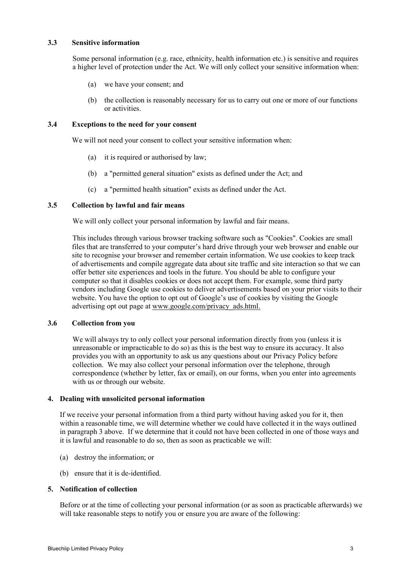# **3.3 Sensitive information**

Some personal information (e.g. race, ethnicity, health information etc.) is sensitive and requires a higher level of protection under the Act. We will only collect your sensitive information when:

- (a) we have your consent; and
- (b) the collection is reasonably necessary for us to carry out one or more of our functions or activities.

#### **3.4 Exceptions to the need for your consent**

We will not need your consent to collect your sensitive information when:

- (a) it is required or authorised by law;
- (b) a "permitted general situation" exists as defined under the Act; and
- (c) a "permitted health situation" exists as defined under the Act.

### **3.5 Collection by lawful and fair means**

We will only collect your personal information by lawful and fair means.

This includes through various browser tracking software such as "Cookies". Cookies are small files that are transferred to your computer's hard drive through your web browser and enable our site to recognise your browser and remember certain information. We use cookies to keep track of advertisements and compile aggregate data about site traffic and site interaction so that we can offer better site experiences and tools in the future. You should be able to configure your computer so that it disables cookies or does not accept them. For example, some third party vendors including Google use cookies to deliver advertisements based on your prior visits to their website. You have the option to opt out of Google's use of cookies by visiting the Google advertising opt out page at www.google.com/privacy\_ads.html.

#### **3.6 Collection from you**

We will always try to only collect your personal information directly from you (unless it is unreasonable or impracticable to do so) as this is the best way to ensure its accuracy. It also provides you with an opportunity to ask us any questions about our Privacy Policy before collection. We may also collect your personal information over the telephone, through correspondence (whether by letter, fax or email), on our forms, when you enter into agreements with us or through our website.

#### **4. Dealing with unsolicited personal information**

If we receive your personal information from a third party without having asked you for it, then within a reasonable time, we will determine whether we could have collected it in the ways outlined in paragraph 3 above. If we determine that it could not have been collected in one of those ways and it is lawful and reasonable to do so, then as soon as practicable we will:

- (a) destroy the information; or
- (b) ensure that it is de-identified.

# **5. Notification of collection**

Before or at the time of collecting your personal information (or as soon as practicable afterwards) we will take reasonable steps to notify you or ensure you are aware of the following: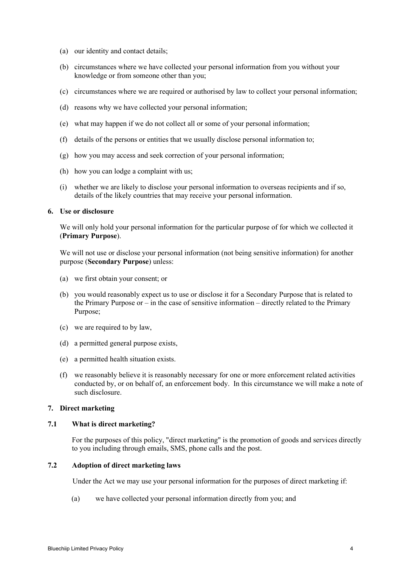- (a) our identity and contact details;
- (b) circumstances where we have collected your personal information from you without your knowledge or from someone other than you;
- (c) circumstances where we are required or authorised by law to collect your personal information;
- (d) reasons why we have collected your personal information;
- (e) what may happen if we do not collect all or some of your personal information;
- (f) details of the persons or entities that we usually disclose personal information to;
- (g) how you may access and seek correction of your personal information;
- (h) how you can lodge a complaint with us;
- (i) whether we are likely to disclose your personal information to overseas recipients and if so, details of the likely countries that may receive your personal information.

#### **6. Use or disclosure**

We will only hold your personal information for the particular purpose of for which we collected it (**Primary Purpose**).

We will not use or disclose your personal information (not being sensitive information) for another purpose (**Secondary Purpose**) unless:

- (a) we first obtain your consent; or
- (b) you would reasonably expect us to use or disclose it for a Secondary Purpose that is related to the Primary Purpose or – in the case of sensitive information – directly related to the Primary Purpose;
- (c) we are required to by law,
- (d) a permitted general purpose exists,
- (e) a permitted health situation exists.
- (f) we reasonably believe it is reasonably necessary for one or more enforcement related activities conducted by, or on behalf of, an enforcement body. In this circumstance we will make a note of such disclosure.

# **7. Direct marketing**

# **7.1 What is direct marketing?**

For the purposes of this policy, "direct marketing" is the promotion of goods and services directly to you including through emails, SMS, phone calls and the post.

### **7.2 Adoption of direct marketing laws**

Under the Act we may use your personal information for the purposes of direct marketing if:

(a) we have collected your personal information directly from you; and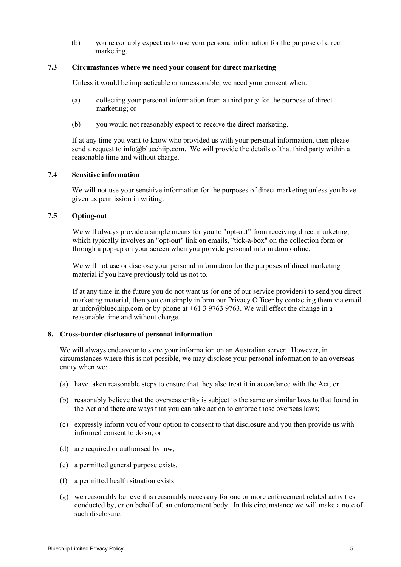(b) you reasonably expect us to use your personal information for the purpose of direct marketing.

### **7.3 Circumstances where we need your consent for direct marketing**

Unless it would be impracticable or unreasonable, we need your consent when:

- (a) collecting your personal information from a third party for the purpose of direct marketing; or
- (b) you would not reasonably expect to receive the direct marketing.

If at any time you want to know who provided us with your personal information, then please send a request to info@bluechiip.com. We will provide the details of that third party within a reasonable time and without charge.

# **7.4 Sensitive information**

We will not use your sensitive information for the purposes of direct marketing unless you have given us permission in writing.

# **7.5 Opting-out**

We will always provide a simple means for you to "opt-out" from receiving direct marketing, which typically involves an "opt-out" link on emails, "tick-a-box" on the collection form or through a pop-up on your screen when you provide personal information online.

We will not use or disclose your personal information for the purposes of direct marketing material if you have previously told us not to.

If at any time in the future you do not want us (or one of our service providers) to send you direct marketing material, then you can simply inform our Privacy Officer by contacting them via email at infor@bluechiip.com or by phone at  $+61$  3 9763 9763. We will effect the change in a reasonable time and without charge.

#### **8. Cross-border disclosure of personal information**

We will always endeavour to store your information on an Australian server. However, in circumstances where this is not possible, we may disclose your personal information to an overseas entity when we:

- (a) have taken reasonable steps to ensure that they also treat it in accordance with the Act; or
- (b) reasonably believe that the overseas entity is subject to the same or similar laws to that found in the Act and there are ways that you can take action to enforce those overseas laws;
- (c) expressly inform you of your option to consent to that disclosure and you then provide us with informed consent to do so; or
- (d) are required or authorised by law;
- (e) a permitted general purpose exists,
- (f) a permitted health situation exists.
- (g) we reasonably believe it is reasonably necessary for one or more enforcement related activities conducted by, or on behalf of, an enforcement body. In this circumstance we will make a note of such disclosure.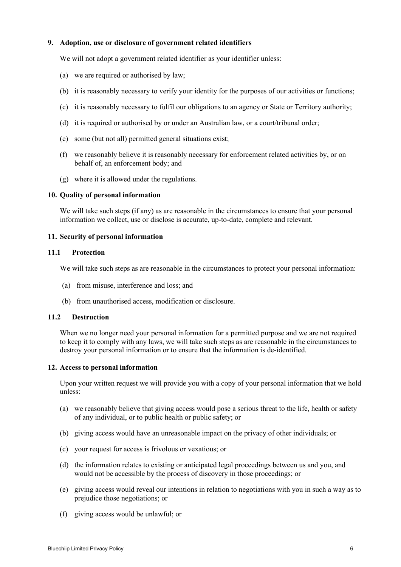# **9. Adoption, use or disclosure of government related identifiers**

We will not adopt a government related identifier as your identifier unless:

- (a) we are required or authorised by law;
- (b) it is reasonably necessary to verify your identity for the purposes of our activities or functions;
- (c) it is reasonably necessary to fulfil our obligations to an agency or State or Territory authority;
- (d) it is required or authorised by or under an Australian law, or a court/tribunal order;
- (e) some (but not all) permitted general situations exist;
- (f) we reasonably believe it is reasonably necessary for enforcement related activities by, or on behalf of, an enforcement body; and
- (g) where it is allowed under the regulations.

#### **10. Quality of personal information**

We will take such steps (if any) as are reasonable in the circumstances to ensure that your personal information we collect, use or disclose is accurate, up-to-date, complete and relevant.

## **11. Security of personal information**

#### **11.1 Protection**

We will take such steps as are reasonable in the circumstances to protect your personal information:

- (a) from misuse, interference and loss; and
- (b) from unauthorised access, modification or disclosure.

# **11.2 Destruction**

When we no longer need your personal information for a permitted purpose and we are not required to keep it to comply with any laws, we will take such steps as are reasonable in the circumstances to destroy your personal information or to ensure that the information is de-identified.

#### **12. Access to personal information**

Upon your written request we will provide you with a copy of your personal information that we hold unless:

- (a) we reasonably believe that giving access would pose a serious threat to the life, health or safety of any individual, or to public health or public safety; or
- (b) giving access would have an unreasonable impact on the privacy of other individuals; or
- (c) your request for access is frivolous or vexatious; or
- (d) the information relates to existing or anticipated legal proceedings between us and you, and would not be accessible by the process of discovery in those proceedings; or
- (e) giving access would reveal our intentions in relation to negotiations with you in such a way as to prejudice those negotiations; or
- (f) giving access would be unlawful; or